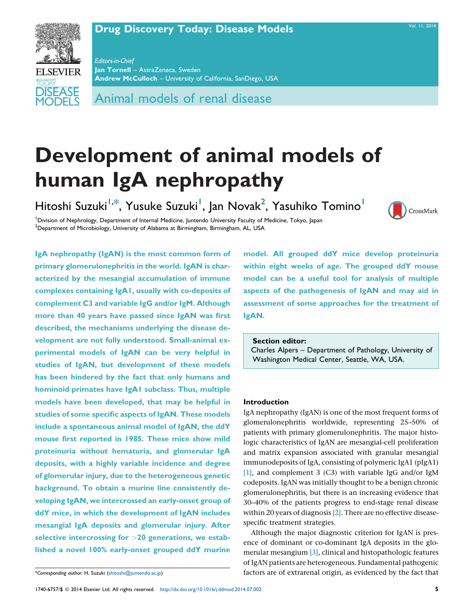# **Drug [Discovery](http://dx.doi.org/10.1016/j.ddmod.2014.07.002) Today: Disease Models** Manual Computer Vol. 11, [2014](http://dx.doi.org/10.1016/j.ddmod.2014.07.002)

CrossMark



Editors-in-Chief Jan Tornell – AstraZeneca, Sweden Andrew McCulloch – University of California, SanDiego, USA

Animal models of renal disease

# Development of animal models of human IgA nephropathy

Hitoshi Suzuki<sup>1,\*</sup>, Yusuke Suzuki<sup>1</sup>, Jan Novak<sup>2</sup>, Yasuhiko Tomino<sup>1</sup>

<sup>1</sup> Division of Nephrology, Department of Internal Medicine, Juntendo University Faculty of Medicine, Tokyo, Japan<br><sup>2</sup> Department of Microbiology, University of Alabama at Birmingham, Birmingham, AL, USA <sup>2</sup>Department of Microbiology, University of Alabama at Birmingham, Birmingham, AL, USA

IgA nephropathy (IgAN) is the most common form of primary glomerulonephritis in the world. IgAN is characterized by the mesangial accumulation of immune complexes containing IgA1, usually with co-deposits of complement C3 and variable IgG and/or IgM. Although more than 40 years have passed since IgAN was first described, the mechanisms underlying the disease development are not fully understood. Small-animal experimental models of IgAN can be very helpful in studies of IgAN, but development of these models has been hindered by the fact that only humans and hominoid primates have IgA1 subclass. Thus, multiple models have been developed, that may be helpful in studies of some specific aspects of IgAN. These models include a spontaneous animal model of IgAN, the ddY mouse first reported in 1985. These mice show mild proteinuria without hematuria, and glomerular IgA deposits, with a highly variable incidence and degree of glomerular injury, due to the heterogeneous genetic background. To obtain a murine line consistently developing IgAN, we intercrossed an early-onset group of ddY mice, in which the development of IgAN includes mesangial IgA deposits and glomerular injury. After selective intercrossing for >20 generations, we established a novel 100% early-onset grouped ddY murine

model. All grouped ddY mice develop proteinuria within eight weeks of age. The grouped ddY mouse model can be a useful tool for analysis of multiple aspects of the pathogenesis of IgAN and may aid in assessment of some approaches for the treatment of IgAN.

# Section editor:

Charles Alpers – Department of Pathology, University of Washington Medical Center, Seattle, WA, USA.

# Introduction

IgA nephropathy (IgAN) is one of the most frequent forms of glomerulonephritis worldwide, representing 25–50% of patients with primary glomerulonephritis. The major histologic characteristics of IgAN are mesangial-cell proliferation and matrix expansion associated with granular mesangial immunodeposits of IgA, consisting of polymeric IgA1 (pIgA1) [\[1\],](#page-5-0) and complement 3 (C3) with variable IgG and/or IgM codeposits. IgAN was initially thought to be a benign chronic glomerulonephritis, but there is an increasing evidence that 30–40% of the patients progress to end-stage renal disease within 20 years of diagnosis [\[2\].](#page-5-0) There are no effective diseasespecific treatment strategies.

Although the major diagnostic criterion for IgAN is presence of dominant or co-dominant IgA deposits in the glomerular mesangium [\[3\]](#page-5-0), clinical and histopathologic features of IgAN patients are heterogeneous. Fundamental pathogenic factors are of extrarenal origin, as evidenced by the fact that

<sup>\*</sup>Corresponding author: H. Suzuki [\(shitoshi@juntendo.ac.jp](mailto:shitoshi@juntendo.ac.jp))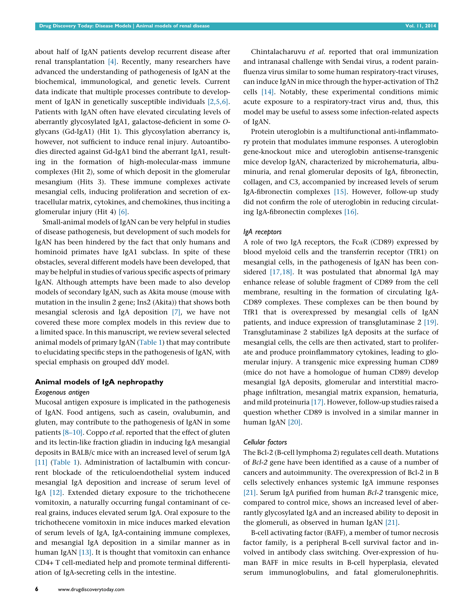about half of IgAN patients develop recurrent disease after renal transplantation [\[4\].](#page-5-0) Recently, many researchers have advanced the understanding of pathogenesis of IgAN at the biochemical, immunological, and genetic levels. Current data indicate that multiple processes contribute to development of IgAN in genetically susceptible individuals [\[2,5,6\]](#page-5-0). Patients with IgAN often have elevated circulating levels of aberrantly glycosylated IgA1, galactose-deficient in some Oglycans (Gd-IgA1) (Hit 1). This glycosylation aberrancy is, however, not sufficient to induce renal injury. Autoantibodies directed against Gd-IgA1 bind the aberrant IgA1, resulting in the formation of high-molecular-mass immune complexes (Hit 2), some of which deposit in the glomerular mesangium (Hits 3). These immune complexes activate mesangial cells, inducing proliferation and secretion of extracellular matrix, cytokines, and chemokines, thus inciting a glomerular injury (Hit 4) [\[6\]](#page-5-0).

Small-animal models of IgAN can be very helpful in studies of disease pathogenesis, but development of such models for IgAN has been hindered by the fact that only humans and hominoid primates have IgA1 subclass. In spite of these obstacles, several different models have been developed, that may be helpful in studies of various specific aspects of primary IgAN. Although attempts have been made to also develop models of secondary IgAN, such as Akita mouse (mouse with mutation in the insulin 2 gene; Ins2 (Akita)) that shows both mesangial sclerosis and IgA deposition [\[7\]](#page-5-0), we have not covered these more complex models in this review due to a limited space. In this manuscript, we review several selected animal models of primary IgAN [\(Table](#page-2-0) 1) that may contribute to elucidating specific steps in the pathogenesis of IgAN, with special emphasis on grouped ddY model.

# Animal models of IgA nephropathy

#### Exogenous antigen

Mucosal antigen exposure is implicated in the pathogenesis of IgAN. Food antigens, such as casein, ovalubumin, and gluten, may contribute to the pathogenesis of IgAN in some patients [8-10]. Coppo et al. reported that the effect of gluten and its lectin-like fraction gliadin in inducing IgA mesangial deposits in BALB/c mice with an increased level of serum IgA [\[11\]](#page-5-0) [\(Table](#page-2-0) 1). Administration of lactalbumin with concurrent blockade of the reticuloendothelial system induced mesangial IgA deposition and increase of serum level of IgA [\[12\].](#page-5-0) Extended dietary exposure to the trichothecene vomitoxin, a naturally occurring fungal contaminant of cereal grains, induces elevated serum IgA. Oral exposure to the trichothecene vomitoxin in mice induces marked elevation of serum levels of IgA, IgA-containing immune complexes, and mesangial IgA deposition in a similar manner as in human IgAN <a>[\[13\]](#page-5-0)</a>. It is thought that vomitoxin can enhance CD4+ T cell-mediated help and promote terminal differentiation of IgA-secreting cells in the intestine.

Chintalacharuvu et al. reported that oral immunization and intranasal challenge with Sendai virus, a rodent parainfluenza virus similar to some human respiratory-tract viruses, can induce IgAN in mice through the hyper-activation of Th2 cells [\[14\]](#page-5-0). Notably, these experimental conditions mimic acute exposure to a respiratory-tract virus and, thus, this model may be useful to assess some infection-related aspects of IgAN.

Protein uteroglobin is a multifunctional anti-inflammatory protein that modulates immune responses. A uteroglobin gene-knockout mice and uteroglobin antisense-transgenic mice develop IgAN, characterized by microhematuria, albuminuria, and renal glomerular deposits of IgA, fibronectin, collagen, and C3, accompanied by increased levels of serum IgA-fibronectin complexes [\[15\].](#page-5-0) However, follow-up study did not confirm the role of uteroglobin in reducing circulating IgA-fibronectin complexes [\[16\]](#page-5-0).

#### IgA receptors

A role of two IgA receptors, the Fc $\alpha$ R (CD89) expressed by blood myeloid cells and the transferrin receptor (TfR1) on mesangial cells, in the pathogenesis of IgAN has been considered [\[17,18\].](#page-5-0) It was postulated that abnormal IgA may enhance release of soluble fragment of CD89 from the cell membrane, resulting in the formation of circulating IgA-CD89 complexes. These complexes can be then bound by TfR1 that is overexpressed by mesangial cells of IgAN patients, and induce expression of transglutaminase 2 [\[19\]](#page-5-0). Transglutaminase 2 stabilizes IgA deposits at the surface of mesangial cells, the cells are then activated, start to proliferate and produce proinflammatory cytokines, leading to glomerular injury. A transgenic mice expressing human CD89 (mice do not have a homologue of human CD89) develop mesangial IgA deposits, glomerular and interstitial macrophage infiltration, mesangial matrix expansion, hematuria, and mild proteinuria [\[17\]](#page-5-0). However, follow-up studies raised a question whether CD89 is involved in a similar manner in human IgAN [\[20\].](#page-5-0)

#### Cellular factors

The Bcl-2 (B-cell lymphoma 2) regulates cell death. Mutations of Bcl-2 gene have been identified as a cause of a number of cancers and autoimmunity. The overexpression of Bcl-2 in B cells selectively enhances systemic IgA immune responses [\[21\].](#page-5-0) Serum IgA purified from human Bcl-2 transgenic mice, compared to control mice, shows an increased level of aberrantly glycosylated IgA and an increased ability to deposit in the glomeruli, as observed in human IgAN [\[21\]](#page-5-0).

B-cell activating factor (BAFF), a member of tumor necrosis factor family, is a peripheral B-cell survival factor and involved in antibody class switching. Over-expression of human BAFF in mice results in B-cell hyperplasia, elevated serum immunoglobulins, and fatal glomerulonephritis.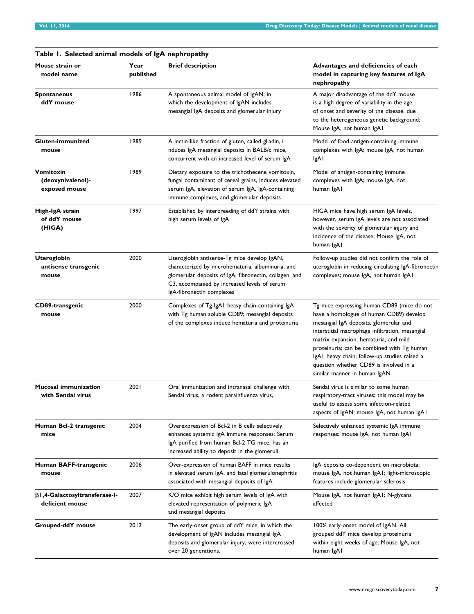<span id="page-2-0"></span>

| Table 1. Selected animal models of IgA nephropathy      |                   |                                                                                                                                                                                                                                         |                                                                                                                                                                                                                                                                                                                                                                                                     |  |
|---------------------------------------------------------|-------------------|-----------------------------------------------------------------------------------------------------------------------------------------------------------------------------------------------------------------------------------------|-----------------------------------------------------------------------------------------------------------------------------------------------------------------------------------------------------------------------------------------------------------------------------------------------------------------------------------------------------------------------------------------------------|--|
| Mouse strain or<br>model name                           | Year<br>published | <b>Brief description</b>                                                                                                                                                                                                                | Advantages and deficiencies of each<br>model in capturing key features of IgA<br>nephropathy                                                                                                                                                                                                                                                                                                        |  |
| <b>Spontaneous</b><br>ddY mouse                         | 1986              | A spontaneous animal model of IgAN, in<br>which the development of IgAN includes<br>mesangial IgA deposits and glomerular injury                                                                                                        | A major disadvantage of the ddY mouse<br>is a high degree of variability in the age<br>of onset and severity of the disease, due<br>to the heterogeneous genetic background;<br>Mouse IgA, not human IgAI                                                                                                                                                                                           |  |
| Gluten-immunized<br>mouse                               | 1989              | A lectin-like fraction of gluten, called gliadin, i<br>nduces IgA mesangial deposits in BALB/c mice,<br>concurrent with an increased level of serum IgA                                                                                 | Model of food-antigen-containing immune<br>complexes with IgA; mouse IgA, not human<br>IgA I                                                                                                                                                                                                                                                                                                        |  |
| Vomitoxin<br>(deoxynivalenol)-<br>exposed mouse         | 1989              | Dietary exposure to the trichothecene vomitoxin,<br>fungal contaminant of cereal grains, induces elevated<br>serum IgA, elevation of serum IgA, IgA-containing<br>immune complexes, and glomerular deposits                             | Model of antigen-containing immune<br>complexes with IgA; mouse IgA, not<br>human IgAI                                                                                                                                                                                                                                                                                                              |  |
| High-IgA strain<br>of ddY mouse<br>(HIGA)               | 1997              | Established by interbreeding of ddY strains with<br>high serum levels of IgA                                                                                                                                                            | HIGA mice have high serum IgA levels,<br>however, serum IgA levels are not associated<br>with the severity of glomerular injury and<br>incidence of the disease; Mouse IgA, not<br>human IgAI                                                                                                                                                                                                       |  |
| <b>Uteroglobin</b><br>antisense transgenic<br>mouse     | 2000              | Uteroglobin antisense-Tg mice develop IgAN,<br>characterized by microhematuria, albuminuria, and<br>glomerular deposits of IgA, fibronectin, collagen, and<br>C3, accompanied by increased levels of serum<br>IgA-fibronectin complexes | Follow-up studies did not confirm the role of<br>uteroglobin in reducing circulating IgA-fibronectin<br>complexes; mouse IgA, not human IgAI                                                                                                                                                                                                                                                        |  |
| CD89-transgenic<br>mouse                                | 2000              | Complexes of Tg IgA1 heavy chain-containing IgA<br>with Tg human soluble CD89; mesangial deposits<br>of the complexes induce hematuria and proteinuria                                                                                  | Tg mice expressing human CD89 (mice do not<br>have a homologue of human CD89) develop<br>mesangial IgA deposits, glomerular and<br>interstitial macrophage infiltration, mesangial<br>matrix expansion, hematuria, and mild<br>proteinuria; can be combined with Tg human<br>IgAI heavy chain; follow-up studies raised a<br>question whether CD89 is involved in a<br>similar manner in human IgAN |  |
| <b>Mucosal immunization</b><br>with Sendai virus        | 2001              | Oral immunization and intranasal challenge with<br>Sendai virus, a rodent parainfluenza virus,                                                                                                                                          | Sendai virus is similar to some human<br>respiratory-tract viruses; this model may be<br>useful to assess some infection-related<br>aspects of IgAN; mouse IgA, not human IgAI                                                                                                                                                                                                                      |  |
| Human Bcl-2 transgenic<br>mice                          | 2004              | Overexpression of Bcl-2 in B cells selectively<br>enhances systemic IgA immune responses; Serum<br>IgA purified from human Bcl-2 TG mice, has an<br>increased ability to deposit in the glomeruli                                       | Selectively enhanced systemic IgA immune<br>responses; mouse IgA, not human IgAI                                                                                                                                                                                                                                                                                                                    |  |
| Human BAFF-transgenic<br>mouse                          | 2006              | Over-expression of human BAFF in mice results<br>in elevated serum IgA, and fatal glomerulonephritis<br>associated with mesangial deposits of lgA                                                                                       | IgA deposits co-dependent on microbiota;<br>mouse IgA, not human IgA1; light-microscopic<br>features include glomerular sclerosis                                                                                                                                                                                                                                                                   |  |
| $\beta$ I,4-Galactosyltransferase-I-<br>deficient mouse | 2007              | K/O mice exhibit high serum levels of IgA with<br>elevated representation of polymeric IgA<br>and mesangial deposits                                                                                                                    | Mouse IgA, not human IgA1; N-glycans<br>affected                                                                                                                                                                                                                                                                                                                                                    |  |
| Grouped-ddY mouse                                       | 2012              | The early-onset group of ddY mice, in which the<br>development of IgAN includes mesangial IgA<br>deposits and glomerular injury, were intercrossed<br>over 20 generations.                                                              | 100% early-onset model of IgAN. All<br>grouped ddY mice develop proteinuria<br>within eight weeks of age; Mouse IgA, not<br>human IgAI                                                                                                                                                                                                                                                              |  |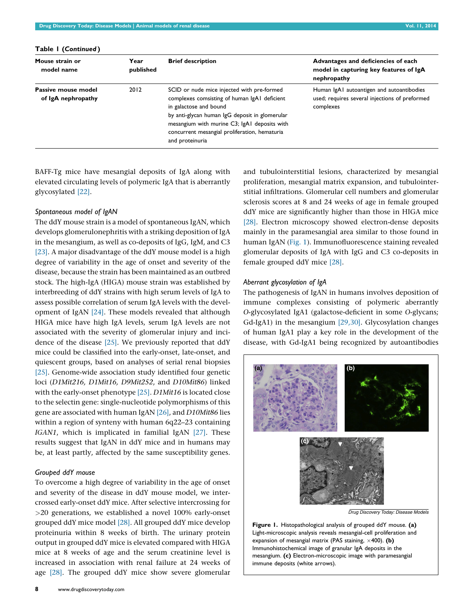| Mouse strain or<br>model name             | Year<br>published | <b>Brief description</b>                                                                                                                                                                                                                                                                   | Advantages and deficiencies of each<br>model in capturing key features of IgA<br>nephropathy             |
|-------------------------------------------|-------------------|--------------------------------------------------------------------------------------------------------------------------------------------------------------------------------------------------------------------------------------------------------------------------------------------|----------------------------------------------------------------------------------------------------------|
| Passive mouse model<br>of IgA nephropathy | 2012              | SCID or nude mice injected with pre-formed<br>complexes comsisting of human IgA1 deficient<br>in galactose and bound<br>by anti-glycan human IgG deposit in glomerular<br>mesangium with murine C3; IgA1 deposits with<br>concurrent mesangial proliferation, hematuria<br>and proteinuria | Human IgAI autoantigen and autoantibodies<br>used; requires several injections of preformed<br>complexes |

Table 1 (Continued )

BAFF-Tg mice have mesangial deposits of IgA along with elevated circulating levels of polymeric IgA that is aberrantly glycosylated [\[22\]](#page-5-0).

#### Spontaneous model of IgAN

The ddY mouse strain is a model of spontaneous IgAN, which develops glomerulonephritis with a striking deposition of IgA in the mesangium, as well as co-deposits of IgG, IgM, and C3 [\[23\].](#page-5-0) A major disadvantage of the ddY mouse model is a high degree of variability in the age of onset and severity of the disease, because the strain has been maintained as an outbred stock. The high-IgA (HIGA) mouse strain was established by interbreeding of ddY strains with high serum levels of IgA to assess possible correlation of serum IgA levels with the development of IgAN [\[24\]](#page-5-0). These models revealed that although HIGA mice have high IgA levels, serum IgA levels are not associated with the severity of glomerular injury and incidence of the disease  $[25]$ . We previously reported that ddY mice could be classified into the early-onset, late-onset, and quiescent groups, based on analyses of serial renal biopsies [\[25\].](#page-5-0) Genome-wide association study identified four genetic loci (D1Mit216, D1Mit16, D9Mit252, and D10Mit86) linked with the early-onset phenotype [\[25\].](#page-5-0) D1Mit16 is located close to the selectin gene: single-nucleotide polymorphisms of this gene are associated with human IgAN [\[26\],](#page-5-0) and D10Mit86 lies within a region of synteny with human 6q22–23 containing IGAN1, which is implicated in familial IgAN [\[27\]](#page-5-0). These results suggest that IgAN in ddY mice and in humans may be, at least partly, affected by the same susceptibility genes.

#### Grouped ddY mouse

To overcome a high degree of variability in the age of onset and severity of the disease in ddY mouse model, we intercrossed early-onset ddY mice. After selective intercrossing for >20 generations, we established a novel 100% early-onset grouped ddY mice model [\[28\]](#page-5-0). All grouped ddY mice develop proteinuria within 8 weeks of birth. The urinary protein output in grouped ddY mice is elevated compared with HIGA mice at 8 weeks of age and the serum creatinine level is increased in association with renal failure at 24 weeks of age [\[28\]](#page-5-0). The grouped ddY mice show severe glomerular

proliferation, mesangial matrix expansion, and tubulointerstitial infiltrations. Glomerular cell numbers and glomerular sclerosis scores at 8 and 24 weeks of age in female grouped ddY mice are significantly higher than those in HIGA mice [\[28\].](#page-5-0) Electron microscopy showed electron-dense deposits mainly in the paramesangial area similar to those found in human IgAN (Fig. 1). Immunofluorescence staining revealed glomerular deposits of IgA with IgG and C3 co-deposits in female grouped ddY mice [\[28\]](#page-5-0).

and tubulointerstitial lesions, characterized by mesangial

# Aberrant glycosylation of IgA

The pathogenesis of IgAN in humans involves deposition of immune complexes consisting of polymeric aberrantly O-glycosylated IgA1 (galactose-deficient in some O-glycans; Gd-IgA1) in the mesangium [\[29,30\]](#page-5-0). Glycosylation changes of human IgA1 play a key role in the development of the disease, with Gd-IgA1 being recognized by autoantibodies



*Drug Discovery Today: Disease Models*

Figure 1. Histopathological analysis of grouped ddY mouse. (a) Light-microscopic analysis reveals mesangial-cell proliferation and expansion of mesangial matrix (PAS staining,  $\times$ 400). (b) Immunohistochemical image of granular IgA deposits in the mesangium. (c) Electron-microscopic image with paramesangial immune deposits (white arrows).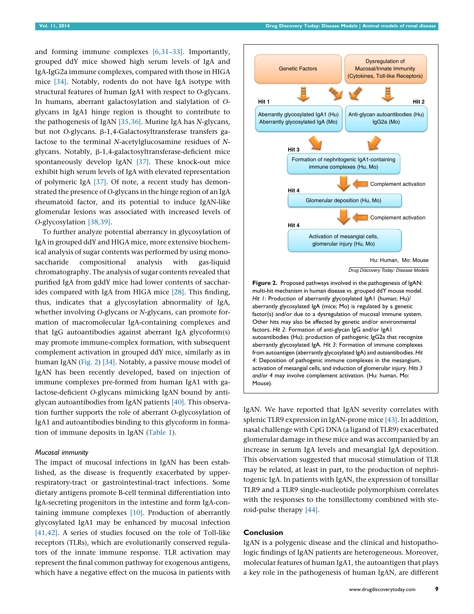<span id="page-4-0"></span>and forming immune complexes [\[6,31–33\]](#page-5-0). Importantly, grouped ddY mice showed high serum levels of IgA and IgA-IgG2a immune complexes, compared with those in HIGA mice [\[34\].](#page-6-0) Notably, rodents do not have IgA isotype with structural features of human IgA1 with respect to O-glycans. In humans, aberrant galactosylation and sialylation of Oglycans in IgA1 hinge region is thought to contribute to the pathogenesis of IgAN [\[35,36\]](#page-6-0). Murine IgA has N-glycans, but not O-glycans. β-1,4-Galactosyltransferase transfers galactose to the terminal N-acetylglucosamine residues of Nglycans. Notably, b-1,4-galactosyltransferase-deficient mice spontaneously develop IgAN [\[37\]](#page-6-0). These knock-out mice exhibit high serum levels of IgA with elevated representation of polymeric IgA [\[37\]](#page-6-0). Of note, a recent study has demonstrated the presence of O-glycans in the hinge region of an IgA rheumatoid factor, and its potential to induce IgAN-like glomerular lesions was associated with increased levels of O-glycosylation [\[38,39\].](#page-6-0)

To further analyze potential aberrancy in glycosylation of IgA in grouped ddY and HIGA mice, more extensive biochemical analysis of sugar contents was performed by using monosaccharide compositional analysis with gas-liquid chromatography. The analysis of sugar contents revealed that purified IgA from gddY mice had lower contents of saccharides compared with IgA from HIGA mice [\[28\]](#page-5-0). This finding, thus, indicates that a glycosylation abnormality of IgA, whether involving O-glycans or N-glycans, can promote formation of macromolecular IgA-containing complexes and that IgG autoantibodies against aberrant IgA glycoform(s) may promote immune-complex formation, with subsequent complement activation in grouped ddY mice, similarly as in human IgAN (Fig. 2) [\[34\].](#page-6-0) Notably, a passive mouse model of IgAN has been recently developed, based on injection of immune complexes pre-formed from human IgA1 with galactose-deficient O-glycans mimicking IgAN bound by antiglycan autoantibodies from IgAN patients [\[40\].](#page-6-0) This observation further supports the role of aberrant O-glycosylation of IgA1 and autoantibodies binding to this glycoform in formation of immune deposits in IgAN ([Table](#page-2-0) 1).

## Mucosal immunity

The impact of mucosal infections in IgAN has been established, as the disease is frequently exacerbated by upperrespiratory-tract or gastrointestinal-tract infections. Some dietary antigens promote B-cell terminal differentiation into IgA-secreting progenitors in the intestine and form IgA-containing immune complexes [\[10\]](#page-5-0). Production of aberrantly glycosylated IgA1 may be enhanced by mucosal infection [\[41,42\]](#page-6-0). A series of studies focused on the role of Toll-like receptors (TLRs), which are evolutionarily conserved regulators of the innate immune response. TLR activation may represent the final common pathway for exogenous antigens, which have a negative effect on the mucosa in patients with



from autoantigen (aberrantly glycosylated IgA) and autoantibodies. Hit 4: Deposition of pathogenic immune complexes in the mesangium, activation of mesangial cells, and induction of glomerular injury. Hits 3 and/or 4 may involve complement activation. (Hu: human, Mo: Mouse).

IgAN. We have reported that IgAN severity correlates with splenic TLR9 expression in IgAN-prone mice [\[43\].](#page-6-0) In addition, nasal challenge with CpG DNA (a ligand of TLR9) exacerbated glomerular damage in these mice and was accompanied by an increase in serum IgA levels and mesangial IgA deposition. This observation suggested that mucosal stimulation of TLR may be related, at least in part, to the production of nephritogenic IgA. In patients with IgAN, the expression of tonsillar TLR9 and a TLR9 single-nucleotide polymorphism correlates with the responses to the tonsillectomy combined with steroid-pulse therapy [\[44\].](#page-6-0)

#### Conclusion

IgAN is a polygenic disease and the clinical and histopathologic findings of IgAN patients are heterogeneous. Moreover, molecular features of human IgA1, the autoantigen that plays a key role in the pathogenesis of human IgAN, are different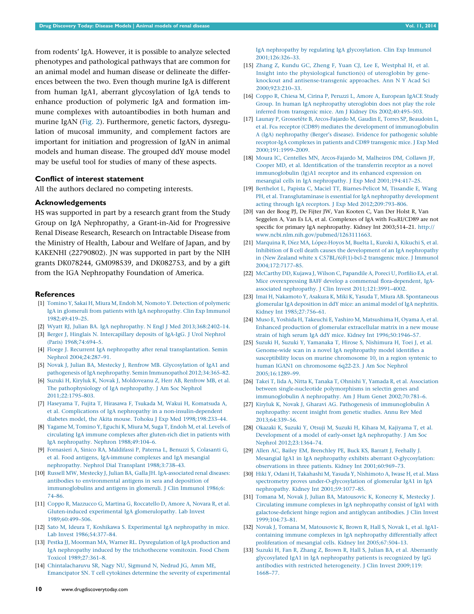<span id="page-5-0"></span>from rodents' IgA. However, it is possible to analyze selected phenotypes and pathological pathways that are common for an animal model and human disease or delineate the differences between the two. Even though murine IgA is different from human IgA1, aberrant glycosylation of IgA tends to enhance production of polymeric IgA and formation immune complexes with autoantibodies in both human and murine IgAN [\(Fig.](#page-4-0) 2). Furthermore, genetic factors, dysregulation of mucosal immunity, and complement factors are important for initiation and progression of IgAN in animal models and human disease. The grouped ddY mouse model may be useful tool for studies of many of these aspects.

#### Conflict of interest statement

All the authors declared no competing interests.

#### Acknowledgements

HS was supported in part by a research grant from the Study Group on IgA Nephropathy, a Grant-in-Aid for Progressive Renal Disease Research, Research on Intractable Disease from the Ministry of Health, Labour and Welfare of Japan, and by KAKENHI (22790802). JN was supported in part by the NIH grants DK078244, GM098539, and DK082753, and by a gift from the IGA Nephropathy Foundation of America.

#### **References**

- [1] Tomino Y, Sakai H, Miura M, Endoh M, Nomoto Y. Detection of [polymeric](http://refhub.elsevier.com/S1740-6757(14)00034-6/sbref0005) IgA in glomeruli from patients with IgA [nephropathy.](http://refhub.elsevier.com/S1740-6757(14)00034-6/sbref0005) Clin Exp Immunol [1982;49:419–25.](http://refhub.elsevier.com/S1740-6757(14)00034-6/sbref0005)
- [2] Wyatt RJ, Julian BA. IgA nephropathy. N Engl J Med [2013;368:2402–14.](http://refhub.elsevier.com/S1740-6757(14)00034-6/sbref0010)
- [3] Berger J, Hinglais N. [Intercapillary](http://refhub.elsevier.com/S1740-6757(14)00034-6/sbref0015) deposits of IgA-IgG. J Urol Nephrol (Paris) [1968;74:694–5](http://refhub.elsevier.com/S1740-6757(14)00034-6/sbref0015).
- [4] Floege J. Recurrent IgA nephropathy after renal [transplantation.](http://refhub.elsevier.com/S1740-6757(14)00034-6/sbref0020) Semin Nephrol [2004;24:287–91.](http://refhub.elsevier.com/S1740-6757(14)00034-6/sbref0020)
- [5] Novak J, Julian BA, Mestecky J, Renfrow MB. [Glycosylation](http://refhub.elsevier.com/S1740-6757(14)00034-6/sbref0025) of IgA1 and pathogenesis of IgA nephropathy. Semin Immunopathol [2012;34:365–82.](http://refhub.elsevier.com/S1740-6757(14)00034-6/sbref0025)
- [6] Suzuki H, Kiryluk K, Novak J, [Moldoveanu](http://refhub.elsevier.com/S1740-6757(14)00034-6/sbref0030) Z, Herr AB, Renfrow MB, et al. The [pathophysiology](http://refhub.elsevier.com/S1740-6757(14)00034-6/sbref0030) of IgA nephropathy. J Am Soc Nephrol [2011;22:1795–803.](http://refhub.elsevier.com/S1740-6757(14)00034-6/sbref0030)
- [7] Haseyama T, Fujita T, Hirasawa F, Tsukada M, Wakui H, [Komatsuda](http://refhub.elsevier.com/S1740-6757(14)00034-6/sbref0035) A, et al. Complications of IgA nephropathy in a [non-insulin-dependent](http://refhub.elsevier.com/S1740-6757(14)00034-6/sbref0035) diabetes model, the Akita mouse. Tohoku J Exp Med [1998;198:233–44](http://refhub.elsevier.com/S1740-6757(14)00034-6/sbref0035).
- [8] Yagame M, [Tomino](http://refhub.elsevier.com/S1740-6757(14)00034-6/sbref0040) Y, Eguchi K, Miura M, Suga T, Endoh M, et al. Levels of circulating IgA immune complexes after [gluten-rich](http://refhub.elsevier.com/S1740-6757(14)00034-6/sbref0040) diet in patients with IgA nephropathy. Nephron [1988;49:104–6](http://refhub.elsevier.com/S1740-6757(14)00034-6/sbref0040).
- [9] Fornasieri A, Sinico RA, [Maldifassi](http://refhub.elsevier.com/S1740-6757(14)00034-6/sbref0045) P, Paterna L, Benuzzi S, Colasanti G, et al. Food antigens, [IgA-immune](http://refhub.elsevier.com/S1740-6757(14)00034-6/sbref0045) complexes and IgA mesangial nephropathy. Nephrol Dial Transplant [1988;3:738–43.](http://refhub.elsevier.com/S1740-6757(14)00034-6/sbref0045)
- [10] Russell MW, Mestecky J, Julian BA, Galla JH. [IgA-associated](http://refhub.elsevier.com/S1740-6757(14)00034-6/sbref0050) renal diseases: antibodies to [environmental](http://refhub.elsevier.com/S1740-6757(14)00034-6/sbref0050) antigens in sera and deposition of [immunoglobulins](http://refhub.elsevier.com/S1740-6757(14)00034-6/sbref0050) and antigens in glomeruli. J Clin Immunol 1986;6: [74–86.](http://refhub.elsevier.com/S1740-6757(14)00034-6/sbref0050)
- [11] Coppo R, Mazzucco G, Martina G, [Roccatello](http://refhub.elsevier.com/S1740-6757(14)00034-6/sbref0055) D, Amore A, Novara R, et al. Gluten-induced experimental IgA [glomerulopathy.](http://refhub.elsevier.com/S1740-6757(14)00034-6/sbref0055) Lab Invest [1989;60:499–506](http://refhub.elsevier.com/S1740-6757(14)00034-6/sbref0055).
- [12] Sato M, Ideura T, Koshikawa S. [Experimental](http://refhub.elsevier.com/S1740-6757(14)00034-6/sbref0060) IgA nephropathy in mice. Lab Invest [1986;54:377–84](http://refhub.elsevier.com/S1740-6757(14)00034-6/sbref0060).
- [13] Pestka JJ, Moorman MA, Warner RL. [Dysregulation](http://refhub.elsevier.com/S1740-6757(14)00034-6/sbref0065) of IgA production and IgA nephropathy induced by the [trichothecene](http://refhub.elsevier.com/S1740-6757(14)00034-6/sbref0065) vomitoxin. Food Chem Toxicol [1989;27:361–8.](http://refhub.elsevier.com/S1740-6757(14)00034-6/sbref0065)
- [14] [Chintalacharuvu](http://refhub.elsevier.com/S1740-6757(14)00034-6/sbref0070) SR, Nagy NU, Sigmund N, Nedrud JG, Amm ME, Emancipator SN. T cell cytokines determine the severity of [experimental](http://refhub.elsevier.com/S1740-6757(14)00034-6/sbref0070)

IgA nephropathy by regulating IgA [glycosylation.](http://refhub.elsevier.com/S1740-6757(14)00034-6/sbref0070) Clin Exp Immunol [2001;126:326–33](http://refhub.elsevier.com/S1740-6757(14)00034-6/sbref0070).

- [15] Zhang Z, Kundu GC, Zheng F, Yuan CJ, Lee E, [Westphal](http://refhub.elsevier.com/S1740-6757(14)00034-6/sbref0075) H, et al. Insight into the [physiological](http://refhub.elsevier.com/S1740-6757(14)00034-6/sbref0075) function(s) of uteroglobin by geneknockout and [antisense-transgenic](http://refhub.elsevier.com/S1740-6757(14)00034-6/sbref0075) approaches. Ann N Y Acad Sci [2000;923:210–33](http://refhub.elsevier.com/S1740-6757(14)00034-6/sbref0075).
- [16] Coppo R, Chiesa M, Cirina P, Peruzzi L, Amore A, [European](http://refhub.elsevier.com/S1740-6757(14)00034-6/sbref0080) IgACE Study Group. In human IgA [nephropathy](http://refhub.elsevier.com/S1740-6757(14)00034-6/sbref0080) uteroglobin does not play the role inferred from transgenic mice. Am J Kidney Dis [2002;40:495–503](http://refhub.elsevier.com/S1740-6757(14)00034-6/sbref0080).
- [17] Launay P, Grossetête B, [Arcos-Fajardo](http://refhub.elsevier.com/S1740-6757(14)00034-6/sbref0085) M, Gaudin E, Torres SP, Beaudoin L, et al. Fca receptor (CD89) mediates the development of [immunoglobulin](http://refhub.elsevier.com/S1740-6757(14)00034-6/sbref0085) A (IgA) [nephropathy](http://refhub.elsevier.com/S1740-6757(14)00034-6/sbref0085) (Berger's disease). Evidence for pathogenic soluble [receptor-IgA](http://refhub.elsevier.com/S1740-6757(14)00034-6/sbref0085) complexes in patients and CD89 transgenic mice. J Exp Med [2000;191:1999–2009](http://refhub.elsevier.com/S1740-6757(14)00034-6/sbref0085).
- [18] Moura IC, Centelles MN, [Arcos-Fajardo](http://refhub.elsevier.com/S1740-6757(14)00034-6/sbref0090) M, Malheiros DM, Collawn JF, Cooper MD, et al. [Identification](http://refhub.elsevier.com/S1740-6757(14)00034-6/sbref0090) of the transferrin receptor as a novel [immunoglobulin](http://refhub.elsevier.com/S1740-6757(14)00034-6/sbref0090) (Ig)A1 receptor and its enhanced expression on mesangial cells in IgA nephropathy. J Exp Med [2001;194:417–25](http://refhub.elsevier.com/S1740-6757(14)00034-6/sbref0090).
- [19] Berthelot L, Papista C, Maciel TT, [Biarnes-Pelicot](http://refhub.elsevier.com/S1740-6757(14)00034-6/sbref0095) M, Tissandie E, Wang PH, et al. [Transglutaminase](http://refhub.elsevier.com/S1740-6757(14)00034-6/sbref0095) is essential for IgA nephropathy development acting through IgA receptors. J Exp Med [2012;209:793–806](http://refhub.elsevier.com/S1740-6757(14)00034-6/sbref0095).
- [20] van der Boog PJ, De Fijter JW, Van Kooten C, Van Der Holst R, Van Seggelen A, Van Es LA, et al. Complexes of IgA with FcaRI/CD89 are not specific for primary IgA nephropathy. Kidney Int 2003;514–21. [http://](http://www.ncbi.nlm.nih.gov/pubmed/1263111663) [www.ncbi.nlm.nih.gov/pubmed/1263111663.](http://www.ncbi.nlm.nih.gov/pubmed/1263111663)
- [21] Marquina R, Díez MA, López-Hoyos M, Buelta L, Kuroki A, Kikuchi S, et al. Inhibition of B cell death causes the [development](http://refhub.elsevier.com/S1740-6757(14)00034-6/sbref0105) of an IgA nephropathy in (New Zealand white x [C57BL/6\)F\(1\)-bcl-2](http://refhub.elsevier.com/S1740-6757(14)00034-6/sbref0105) transgenic mice. J Immunol [2004;172:7177–85](http://refhub.elsevier.com/S1740-6757(14)00034-6/sbref0105).
- [22] [McCarthy](http://refhub.elsevier.com/S1740-6757(14)00034-6/sbref0110) DD, Kujawa J, Wilson C, Papandile A, Poreci U, Porfilio EA, et al. Mice overexpressing BAFF develop a commensal [flora-dependent,](http://refhub.elsevier.com/S1740-6757(14)00034-6/sbref0110) IgAassociated nephropathy. J Clin Invest [2011;121:3991–4002.](http://refhub.elsevier.com/S1740-6757(14)00034-6/sbref0110)
- [23] Imai H, Nakamoto Y, Asakura K, Miki K, Yasuda T, Miura AB. [Spontaneous](http://refhub.elsevier.com/S1740-6757(14)00034-6/sbref0115) [glomerular](http://refhub.elsevier.com/S1740-6757(14)00034-6/sbref0115) IgA deposition in ddY mice: an animal model of IgA nephritis. Kidney Int [1985;27:756–61.](http://refhub.elsevier.com/S1740-6757(14)00034-6/sbref0115)
- [24] Muso E, Yoshida H, Takeuchi E, Yashiro M, [Matsushima](http://refhub.elsevier.com/S1740-6757(14)00034-6/sbref0120) H, Oyama A, et al. Enhanced production of glomerular [extracellular](http://refhub.elsevier.com/S1740-6757(14)00034-6/sbref0120) matrix in a new mouse strain of high serum IgA ddY mice. Kidney Int [1996;50:1946–57.](http://refhub.elsevier.com/S1740-6757(14)00034-6/sbref0120)
- [25] Suzuki H, Suzuki Y, Yamanaka T, Hirose S, [Nishimura](http://refhub.elsevier.com/S1740-6757(14)00034-6/sbref0125) H, Toei J, et al. [Genome-wide](http://refhub.elsevier.com/S1740-6757(14)00034-6/sbref0125) scan in a novel IgA nephropathy model identifies a [susceptibility](http://refhub.elsevier.com/S1740-6757(14)00034-6/sbref0125) locus on murine chromosome 10, in a region syntenic to human IGAN1 on [chromosome](http://refhub.elsevier.com/S1740-6757(14)00034-6/sbref0125) 6q22-23. J Am Soc Nephrol [2005;16:1289–99](http://refhub.elsevier.com/S1740-6757(14)00034-6/sbref0125).
- [26] Takei T, Iida A, Nitta K, Tanaka T, Ohnishi Y, Yamada R, et al. [Association](http://refhub.elsevier.com/S1740-6757(14)00034-6/sbref0130) between [single-nucleotide](http://refhub.elsevier.com/S1740-6757(14)00034-6/sbref0130) polymorphisms in selectin genes and [immunoglobulin](http://refhub.elsevier.com/S1740-6757(14)00034-6/sbref0130) A nephropathy. Am J Hum Genet 2002;70:781–6.
- [27] Kiryluk K, Novak J, Gharavi AG. Pathogenesis of [immunoglobulin](http://refhub.elsevier.com/S1740-6757(14)00034-6/sbref0135) A [nephropathy:](http://refhub.elsevier.com/S1740-6757(14)00034-6/sbref0135) recent insight from genetic studies. Annu Rev Med [2013;64:339–56](http://refhub.elsevier.com/S1740-6757(14)00034-6/sbref0135).
- [28] Okazaki K, Suzuki Y, Otsuji M, Suzuki H, Kihara M, [Kajiyama](http://refhub.elsevier.com/S1740-6757(14)00034-6/sbref0140) T, et al. Development of a model of early-onset IgA [nephropathy.](http://refhub.elsevier.com/S1740-6757(14)00034-6/sbref0140) J Am Soc Nephrol [2012;23:1364–74.](http://refhub.elsevier.com/S1740-6757(14)00034-6/sbref0140)
- [29] Allen AC, Bailey EM, [Brenchley](http://refhub.elsevier.com/S1740-6757(14)00034-6/sbref0145) PE, Buck KS, Barratt J, Feehally J. Mesangial IgA1 in IgA nephropathy exhibits aberrant [O-glycosylation:](http://refhub.elsevier.com/S1740-6757(14)00034-6/sbref0145) observations in three patients. Kidney Int [2001;60:969–73.](http://refhub.elsevier.com/S1740-6757(14)00034-6/sbref0145)
- [30] Hiki Y, Odani H, Takahashi M, Yasuda Y, [Nishimoto](http://refhub.elsevier.com/S1740-6757(14)00034-6/sbref0150) A, Iwase H, et al. Mass spectrometry proves [under-O-glycosylation](http://refhub.elsevier.com/S1740-6757(14)00034-6/sbref0150) of glomerular IgA1 in IgA nephropathy. Kidney Int [2001;59:1077–85.](http://refhub.elsevier.com/S1740-6757(14)00034-6/sbref0150)
- [31] Tomana M, Novak J, Julian BA, [Matousovic](http://refhub.elsevier.com/S1740-6757(14)00034-6/sbref0155) K, Konecny K, Mestecky J. Circulating immune complexes in IgA [nephropathy](http://refhub.elsevier.com/S1740-6757(14)00034-6/sbref0155) consist of IgA1 with [galactose-deficient](http://refhub.elsevier.com/S1740-6757(14)00034-6/sbref0155) hinge region and antiglycan antibodies. J Clin Invest [1999;104:73–81](http://refhub.elsevier.com/S1740-6757(14)00034-6/sbref0155).
- [32] Novak J, Tomana M, [Matousovic](http://refhub.elsevier.com/S1740-6757(14)00034-6/sbref0160) K, Brown R, Hall S, Novak L, et al. IgA1 containing immune complexes in IgA [nephropathy](http://refhub.elsevier.com/S1740-6757(14)00034-6/sbref0160) differentially affect proliferation of mesangial cells. Kidney Int [2005;67:504–13.](http://refhub.elsevier.com/S1740-6757(14)00034-6/sbref0160)
- [33] Suzuki H, Fan R, Zhang Z, Brown R, Hall S, Julian BA, et al. [Aberrantly](http://refhub.elsevier.com/S1740-6757(14)00034-6/sbref0165) glycosylated IgA1 in IgA [nephropathy](http://refhub.elsevier.com/S1740-6757(14)00034-6/sbref0165) patients is recognized by IgG antibodies with restricted [heterogeneity.](http://refhub.elsevier.com/S1740-6757(14)00034-6/sbref0165) J Clin Invest 2009;119: [1668–77](http://refhub.elsevier.com/S1740-6757(14)00034-6/sbref0165).